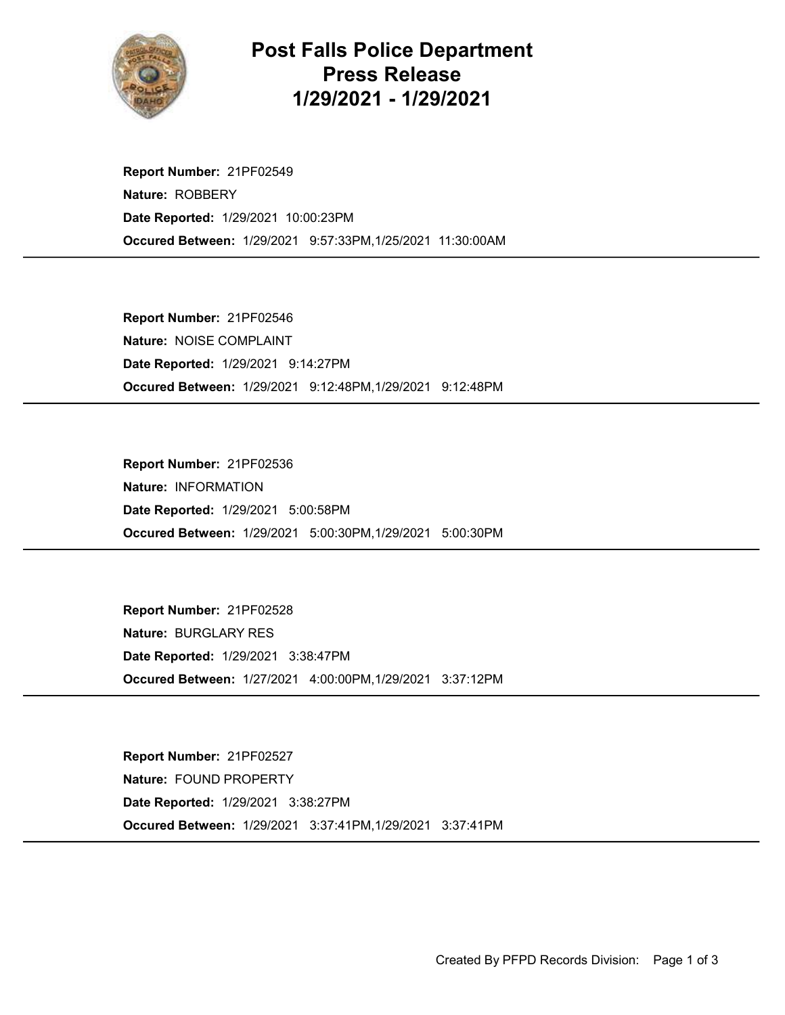

## Post Falls Police Department Press Release 1/29/2021 - 1/29/2021

Occured Between: 1/29/2021 9:57:33PM,1/25/2021 11:30:00AM Report Number: 21PF02549 Nature: ROBBERY Date Reported: 1/29/2021 10:00:23PM

Occured Between: 1/29/2021 9:12:48PM,1/29/2021 9:12:48PM Report Number: 21PF02546 Nature: NOISE COMPLAINT Date Reported: 1/29/2021 9:14:27PM

Occured Between: 1/29/2021 5:00:30PM,1/29/2021 5:00:30PM Report Number: 21PF02536 Nature: INFORMATION Date Reported: 1/29/2021 5:00:58PM

Occured Between: 1/27/2021 4:00:00PM,1/29/2021 3:37:12PM Report Number: 21PF02528 Nature: BURGLARY RES Date Reported: 1/29/2021 3:38:47PM

Occured Between: 1/29/2021 3:37:41PM,1/29/2021 3:37:41PM Report Number: 21PF02527 Nature: FOUND PROPERTY Date Reported: 1/29/2021 3:38:27PM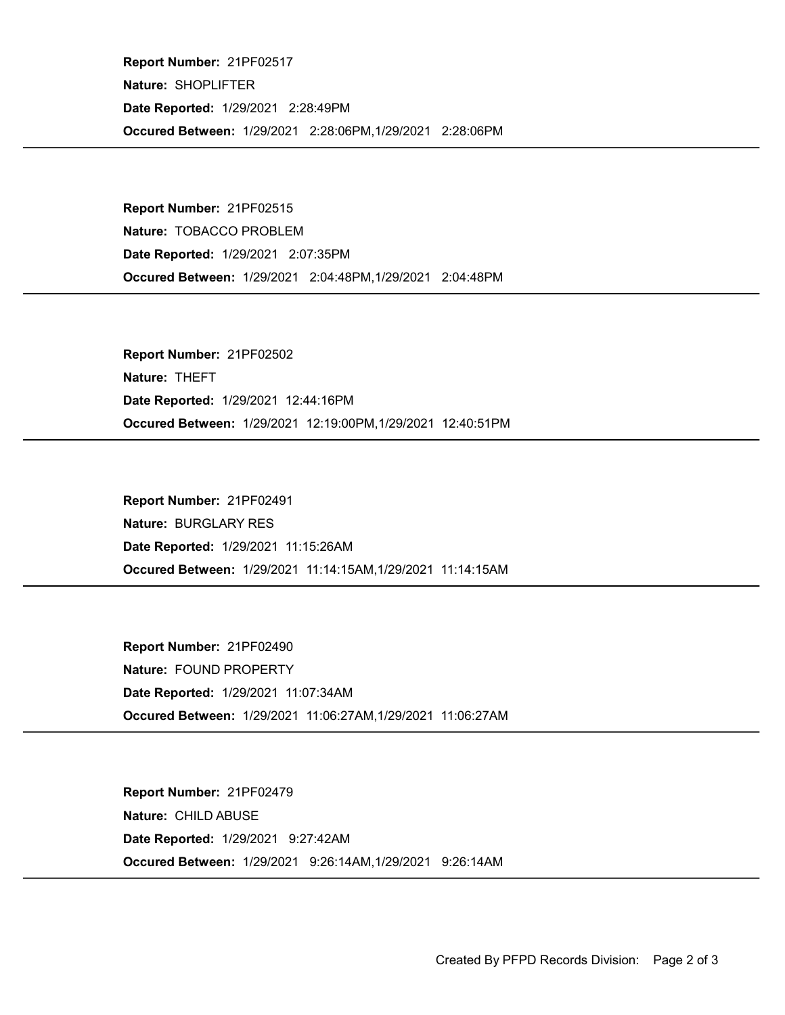Occured Between: 1/29/2021 2:28:06PM,1/29/2021 2:28:06PM Report Number: 21PF02517 Nature: SHOPLIFTER Date Reported: 1/29/2021 2:28:49PM

Occured Between: 1/29/2021 2:04:48PM,1/29/2021 2:04:48PM Report Number: 21PF02515 Nature: TOBACCO PROBLEM Date Reported: 1/29/2021 2:07:35PM

Occured Between: 1/29/2021 12:19:00PM,1/29/2021 12:40:51PM Report Number: 21PF02502 Nature: THEFT Date Reported: 1/29/2021 12:44:16PM

Occured Between: 1/29/2021 11:14:15AM,1/29/2021 11:14:15AM Report Number: 21PF02491 Nature: BURGLARY RES Date Reported: 1/29/2021 11:15:26AM

Occured Between: 1/29/2021 11:06:27AM,1/29/2021 11:06:27AM Report Number: 21PF02490 Nature: FOUND PROPERTY Date Reported: 1/29/2021 11:07:34AM

Occured Between: 1/29/2021 9:26:14AM,1/29/2021 9:26:14AM Report Number: 21PF02479 Nature: CHILD ABUSE Date Reported: 1/29/2021 9:27:42AM